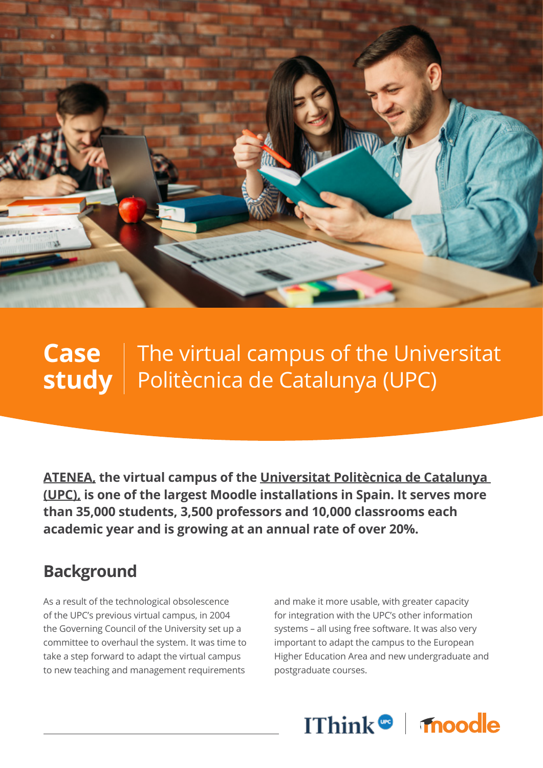

## **Case** | The virtual campus of the Universitat **study** | Politècnica de Catalunya (UPC)

**[ATENEA,](https://serveistic.upc.edu/ca/atenea) the virtual campus of the [Universitat Politècnica de Catalunya](https://www.upc.edu/ca)  (UPC), is one of the largest Moodle installations in Spain. It serves more than 35,000 students, 3,500 professors and 10,000 classrooms each academic year and is growing at an annual rate of over 20%.**

## **Background**

As a result of the technological obsolescence of the UPC's previous virtual campus, in 2004 the Governing Council of the University set up a committee to overhaul the system. It was time to take a step forward to adapt the virtual campus to new teaching and management requirements

and make it more usable, with greater capacity for integration with the UPC's other information systems – all using free software. It was also very important to adapt the campus to the European Higher Education Area and new undergraduate and postgraduate courses.